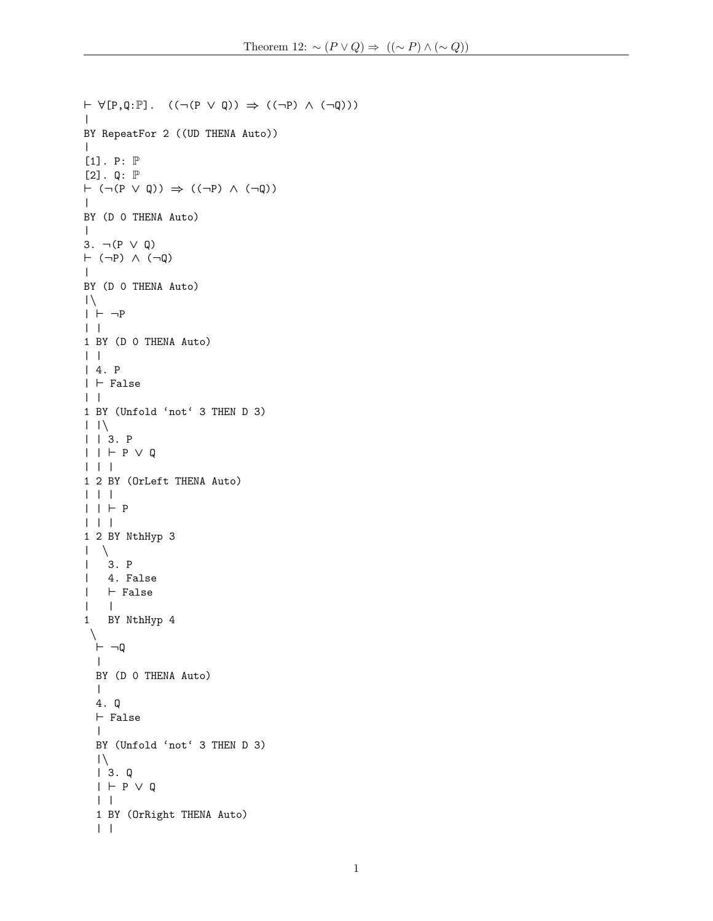```
\vdash \forall [P,Q:\mathbb{P}]. ((\neg (P \lor Q)) \Rightarrow ((\neg P) \land (\neg Q)))\perpBY RepeatFor 2 ((UD THENA Auto))
\blacksquare[1]. P: \mathbb P[2]. Q: \mathbb P\vdash (\neg (P \lor Q)) \Rightarrow ((\neg P) \land (\neg Q))\blacksquareBY (D 0 THENA Auto)
\blacksquare3. ¬(P ∨ Q)
\vdash (¬P) \land (¬Q)
\perpBY (D 0 THENA Auto)
|\setminus|| + -P| \cdot |1 BY (D 0 THENA Auto)
| \cdot || 4. P
| \vdash False
| \cdot |1 BY (Unfold 'not' 3 THEN D 3)
| \cdot | \setminus| | 3. P
| | + P \vee Q| | |
1 2 BY (OrLeft THENA Auto)
| | |
| | + P| | |
1 2 BY NthHyp 3
| \cdot \rangle| 3. P
| 4. False
|\quad \vdash False
\| \cdot \|1 BY NthHyp 4
 \Delta\vdash \neg Q\blacksquareBY (D 0 THENA Auto)
  \perp4. Q
  \vdash False
  \perpBY (Unfold 'not' 3 THEN D 3)
  |\setminus|| 3. Q
  | \vdash P \vee Q
  | \cdot |1 BY (OrRight THENA Auto)
  | |
```